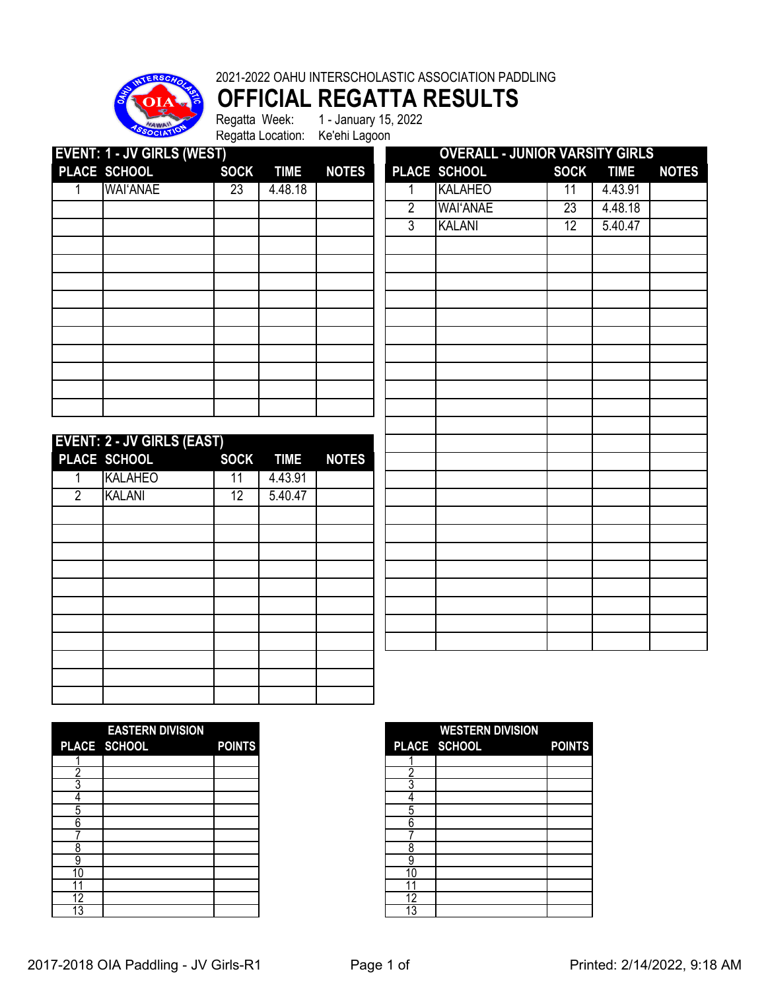

**OFFICIAL REGATTA RESULTS**

Regatta Location: Ke'ehi Lagoon

Regatta Week: 1 - January 15, 2022

|                | <b>EVENT: 1 - JV GIRLS (WEST)</b> |                 |             |              |                | <b>OVERALL - JUNIOR VARSITY GIRLS</b> |                 |             |              |
|----------------|-----------------------------------|-----------------|-------------|--------------|----------------|---------------------------------------|-----------------|-------------|--------------|
|                | PLACE SCHOOL                      | <b>SOCK</b>     | <b>TIME</b> | <b>NOTES</b> |                | PLACE SCHOOL                          | <b>SOCK</b>     | <b>TIME</b> | <b>NOTES</b> |
| 1              | <b>WAI'ANAE</b>                   | $\overline{23}$ | 4.48.18     |              | 1              | <b>KALAHEO</b>                        | 11              | 4.43.91     |              |
|                |                                   |                 |             |              | $\overline{2}$ | <b>WAI'ANAE</b>                       | $\overline{23}$ | 4.48.18     |              |
|                |                                   |                 |             |              | $\overline{3}$ | <b>KALANI</b>                         | 12              | 5.40.47     |              |
|                |                                   |                 |             |              |                |                                       |                 |             |              |
|                |                                   |                 |             |              |                |                                       |                 |             |              |
|                |                                   |                 |             |              |                |                                       |                 |             |              |
|                |                                   |                 |             |              |                |                                       |                 |             |              |
|                |                                   |                 |             |              |                |                                       |                 |             |              |
|                |                                   |                 |             |              |                |                                       |                 |             |              |
|                |                                   |                 |             |              |                |                                       |                 |             |              |
|                |                                   |                 |             |              |                |                                       |                 |             |              |
|                |                                   |                 |             |              |                |                                       |                 |             |              |
|                |                                   |                 |             |              |                |                                       |                 |             |              |
|                |                                   |                 |             |              |                |                                       |                 |             |              |
|                | <b>EVENT: 2 - JV GIRLS (EAST)</b> |                 |             |              |                |                                       |                 |             |              |
|                | PLACE SCHOOL                      | <b>SOCK</b>     | <b>TIME</b> | <b>NOTES</b> |                |                                       |                 |             |              |
| 1              | <b>KALAHEO</b>                    | $\overline{11}$ | 4.43.91     |              |                |                                       |                 |             |              |
| $\overline{2}$ | <b>KALANI</b>                     | 12              | 5.40.47     |              |                |                                       |                 |             |              |
|                |                                   |                 |             |              |                |                                       |                 |             |              |
|                |                                   |                 |             |              |                |                                       |                 |             |              |
|                |                                   |                 |             |              |                |                                       |                 |             |              |
|                |                                   |                 |             |              |                |                                       |                 |             |              |
|                |                                   |                 |             |              |                |                                       |                 |             |              |
|                |                                   |                 |             |              |                |                                       |                 |             |              |
|                |                                   |                 |             |              |                |                                       |                 |             |              |
|                |                                   |                 |             |              |                |                                       |                 |             |              |
|                |                                   |                 |             |              |                |                                       |                 |             |              |
|                |                                   |                 |             |              |                |                                       |                 |             |              |
|                |                                   |                 |             |              |                |                                       |                 |             |              |

|                 | <b>EASTERN DIVISION</b> |               |
|-----------------|-------------------------|---------------|
|                 | PLACE SCHOOL            | <b>POINTS</b> |
|                 |                         |               |
|                 |                         |               |
|                 |                         |               |
|                 |                         |               |
|                 |                         |               |
| հ               |                         |               |
|                 |                         |               |
| o<br>n          |                         |               |
| q               |                         |               |
| ۱0              |                         |               |
|                 |                         |               |
| 2               |                         |               |
| $1\overline{3}$ |                         |               |

|    | <b>EASTERN DIVISION</b> |               |          | <b>WESTERN DIVISION</b> |               |
|----|-------------------------|---------------|----------|-------------------------|---------------|
|    | PLACE SCHOOL            | <b>POINTS</b> |          | PLACE SCHOOL            | <b>POINTS</b> |
|    |                         |               |          |                         |               |
|    |                         |               |          |                         |               |
|    |                         |               |          |                         |               |
|    |                         |               | $\prime$ |                         |               |
| n. |                         |               | .5       |                         |               |
| n  |                         |               | 6        |                         |               |
|    |                         |               |          |                         |               |
|    |                         |               | 8        |                         |               |
|    |                         |               | ä        |                         |               |
| 10 |                         |               | 10       |                         |               |
|    |                         |               |          |                         |               |
| 12 |                         |               | 12       |                         |               |
| 13 |                         |               | 13       |                         |               |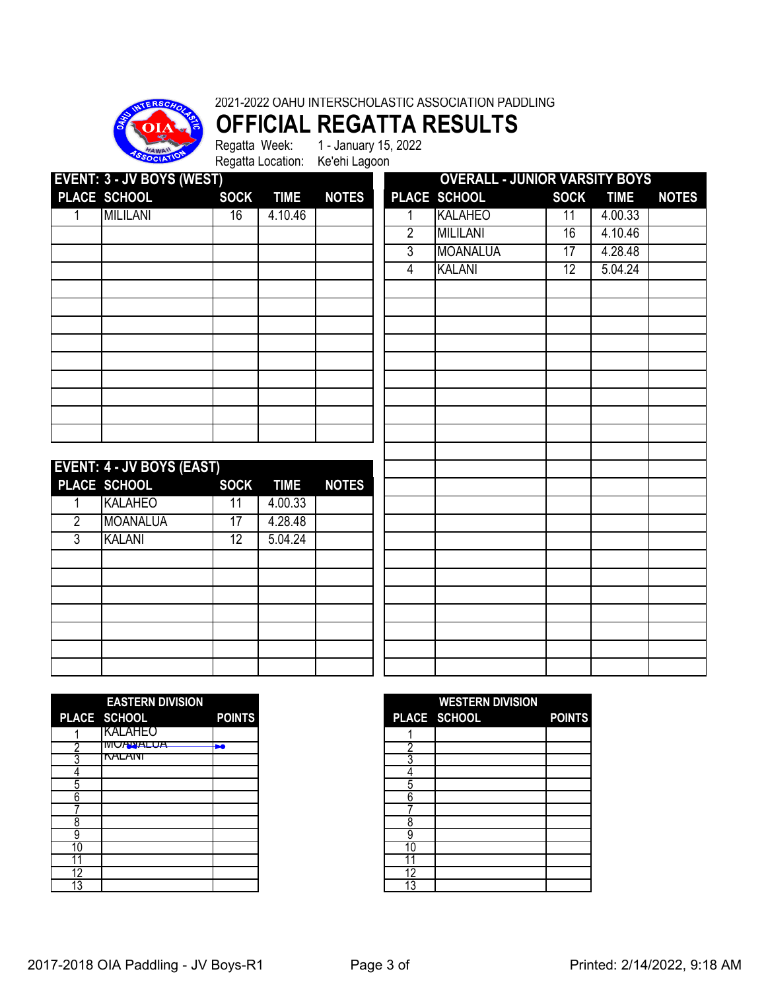

**OFFICIAL REGATTA RESULTS** Regatta Week: 1 - January 15, 2022

Regatta Location: Ke'ehi Lagoon

| <b>EVENT: 3 - JV BOYS (WEST)</b> |                                  |                 |             |              | <b>OVERALL - JUNIOR VARSITY BOYS</b> |                 |                 |             |              |  |
|----------------------------------|----------------------------------|-----------------|-------------|--------------|--------------------------------------|-----------------|-----------------|-------------|--------------|--|
|                                  | PLACE SCHOOL                     | <b>SOCK</b>     | <b>TIME</b> | <b>NOTES</b> |                                      | PLACE SCHOOL    | <b>SOCK</b>     | <b>TIME</b> | <b>NOTES</b> |  |
|                                  | <b>MILILANI</b>                  | 16              | 4.10.46     |              | 1                                    | <b>KALAHEO</b>  | 11              | 4.00.33     |              |  |
|                                  |                                  |                 |             |              | $\overline{2}$                       | <b>MILILANI</b> | 16              | 4.10.46     |              |  |
|                                  |                                  |                 |             |              | $\overline{3}$                       | <b>MOANALUA</b> | 17              | 4.28.48     |              |  |
|                                  |                                  |                 |             |              | 4                                    | <b>KALANI</b>   | $\overline{12}$ | 5.04.24     |              |  |
|                                  |                                  |                 |             |              |                                      |                 |                 |             |              |  |
|                                  |                                  |                 |             |              |                                      |                 |                 |             |              |  |
|                                  |                                  |                 |             |              |                                      |                 |                 |             |              |  |
|                                  |                                  |                 |             |              |                                      |                 |                 |             |              |  |
|                                  |                                  |                 |             |              |                                      |                 |                 |             |              |  |
|                                  |                                  |                 |             |              |                                      |                 |                 |             |              |  |
|                                  |                                  |                 |             |              |                                      |                 |                 |             |              |  |
|                                  |                                  |                 |             |              |                                      |                 |                 |             |              |  |
|                                  |                                  |                 |             |              |                                      |                 |                 |             |              |  |
|                                  |                                  |                 |             |              |                                      |                 |                 |             |              |  |
|                                  | <b>EVENT: 4 - JV BOYS (EAST)</b> |                 |             |              |                                      |                 |                 |             |              |  |
|                                  | PLACE SCHOOL                     | <b>SOCK</b>     | <b>TIME</b> | <b>NOTES</b> |                                      |                 |                 |             |              |  |
| 1                                | <b>KALAHEO</b>                   | 11              | 4.00.33     |              |                                      |                 |                 |             |              |  |
| $\overline{2}$                   | <b>MOANALUA</b>                  | $\overline{17}$ | 4.28.48     |              |                                      |                 |                 |             |              |  |
| $\overline{3}$                   | <b>KALANI</b>                    | 12              | 5.04.24     |              |                                      |                 |                 |             |              |  |
|                                  |                                  |                 |             |              |                                      |                 |                 |             |              |  |
|                                  |                                  |                 |             |              |                                      |                 |                 |             |              |  |
|                                  |                                  |                 |             |              |                                      |                 |                 |             |              |  |
|                                  |                                  |                 |             |              |                                      |                 |                 |             |              |  |
|                                  |                                  |                 |             |              |                                      |                 |                 |             |              |  |
|                                  |                                  |                 |             |              |                                      |                 |                 |             |              |  |
|                                  |                                  |                 |             |              |                                      |                 |                 |             |              |  |

|    | <b>EASTERN DIVISION</b> |               |  |
|----|-------------------------|---------------|--|
|    | PLACE SCHOOL            | <b>POINTS</b> |  |
|    | <b>KALAHEO</b>          |               |  |
| r  | <b>IVIUANALUA</b>       | ы             |  |
|    | <b>NALANI</b>           |               |  |
|    |                         |               |  |
| հ  |                         |               |  |
|    |                         |               |  |
| 8  |                         |               |  |
| 9  |                         |               |  |
|    |                         |               |  |
|    |                         |               |  |
| 12 |                         |               |  |
| 13 |                         |               |  |

|         | <b>EASTERN DIVISION</b> |               |
|---------|-------------------------|---------------|
|         | PLACE SCHOOL            | <b>POINTS</b> |
|         | KALAHEO                 |               |
|         | <b>MUANALUA</b>         | b.            |
|         | <b>NALAIVI</b>          |               |
|         |                         |               |
| 5       |                         |               |
| h       |                         |               |
|         |                         |               |
| 8       |                         |               |
| 9<br>10 |                         |               |
|         |                         |               |
| 12      |                         |               |
| 13      |                         |               |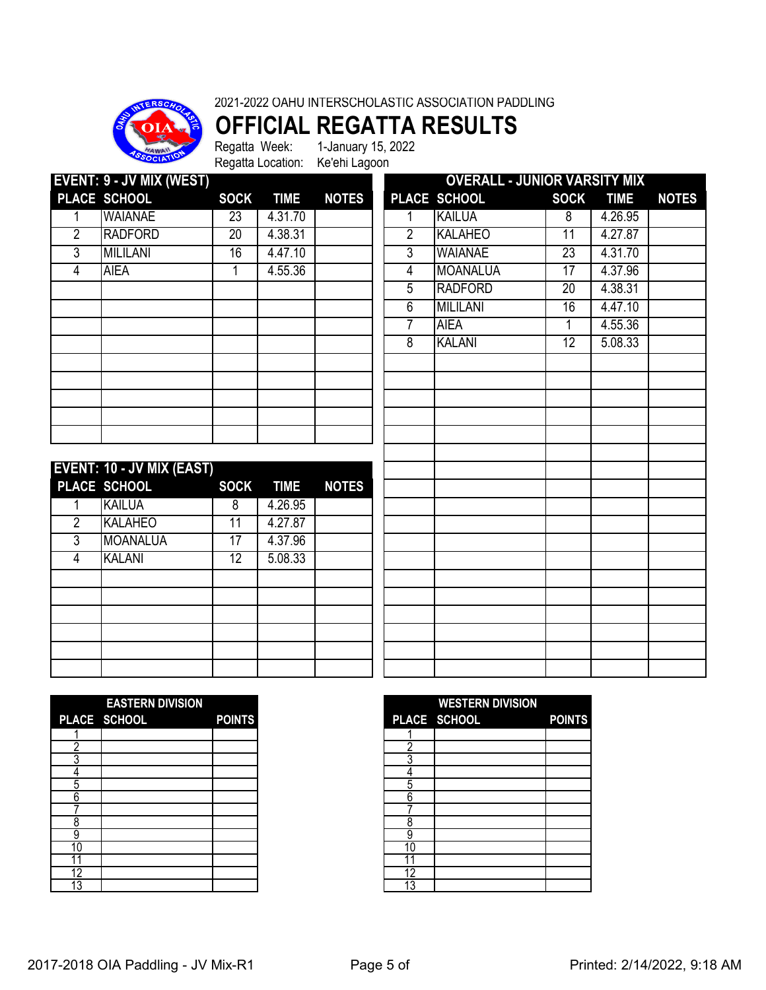### **OFFICIAL REGATTA RESULTS**

Regatta Week: 1-January 15, 2022 Regatta Location: Ke'ehi Lagoon

| <b>EVENT: 9 - JV MIX (WEST)</b> |                           |                 |             |              | <b>OVERALL - JUNIOR VARSITY MIX</b> |                 |                 |             |              |  |
|---------------------------------|---------------------------|-----------------|-------------|--------------|-------------------------------------|-----------------|-----------------|-------------|--------------|--|
|                                 | PLACE SCHOOL              | <b>SOCK</b>     | <b>TIME</b> | <b>NOTES</b> |                                     | PLACE SCHOOL    | <b>SOCK</b>     | <b>TIME</b> | <b>NOTES</b> |  |
| 1                               | <b>WAIANAE</b>            | 23              | 4.31.70     |              | 1                                   | <b>KAILUA</b>   | 8               | 4.26.95     |              |  |
| $\overline{2}$                  | <b>RADFORD</b>            | $\overline{20}$ | 4.38.31     |              | $\overline{2}$                      | <b>KALAHEO</b>  | $\overline{11}$ | 4.27.87     |              |  |
| $\overline{3}$                  | <b>MILILANI</b>           | 16              | 4.47.10     |              | $\overline{3}$                      | <b>WAIANAE</b>  | 23              | 4.31.70     |              |  |
| $\overline{4}$                  | <b>AIEA</b>               | 1               | 4.55.36     |              | $\overline{4}$                      | <b>MOANALUA</b> | $\overline{17}$ | 4.37.96     |              |  |
|                                 |                           |                 |             |              | $\overline{5}$                      | <b>RADFORD</b>  | $\overline{20}$ | 4.38.31     |              |  |
|                                 |                           |                 |             |              | 6                                   | <b>MILILANI</b> | $\overline{16}$ | 4.47.10     |              |  |
|                                 |                           |                 |             |              | 7                                   | <b>AIEA</b>     | 1               | 4.55.36     |              |  |
|                                 |                           |                 |             |              | 8                                   | <b>KALANI</b>   | $\overline{12}$ | 5.08.33     |              |  |
|                                 |                           |                 |             |              |                                     |                 |                 |             |              |  |
|                                 |                           |                 |             |              |                                     |                 |                 |             |              |  |
|                                 |                           |                 |             |              |                                     |                 |                 |             |              |  |
|                                 |                           |                 |             |              |                                     |                 |                 |             |              |  |
|                                 |                           |                 |             |              |                                     |                 |                 |             |              |  |
|                                 |                           |                 |             |              |                                     |                 |                 |             |              |  |
|                                 | EVENT: 10 - JV MIX (EAST) |                 |             |              |                                     |                 |                 |             |              |  |
|                                 | PLACE SCHOOL              | <b>SOCK</b>     | <b>TIME</b> | <b>NOTES</b> |                                     |                 |                 |             |              |  |
|                                 | <b>KAILUA</b>             | 8               | 4.26.95     |              |                                     |                 |                 |             |              |  |
| $\overline{2}$                  | <b>KALAHEO</b>            | 11              | 4.27.87     |              |                                     |                 |                 |             |              |  |
| 3                               | <b>MOANALUA</b>           | 17              | 4.37.96     |              |                                     |                 |                 |             |              |  |
| 4                               | <b>KALANI</b>             | 12              | 5.08.33     |              |                                     |                 |                 |             |              |  |
|                                 |                           |                 |             |              |                                     |                 |                 |             |              |  |
|                                 |                           |                 |             |              |                                     |                 |                 |             |              |  |
|                                 |                           |                 |             |              |                                     |                 |                 |             |              |  |

|    | <b>EASTERN DIVISION</b> |               |
|----|-------------------------|---------------|
|    | PLACE SCHOOL            | <b>POINTS</b> |
|    |                         |               |
| ŋ  |                         |               |
|    |                         |               |
|    |                         |               |
| 5  |                         |               |
| 6  |                         |               |
|    |                         |               |
| 8  |                         |               |
| 9  |                         |               |
| 10 |                         |               |
|    |                         |               |
| 12 |                         |               |
|    |                         |               |

|    | <b>EASTERN DIVISION</b> |               |
|----|-------------------------|---------------|
|    | PLACE SCHOOL            | <b>POINTS</b> |
|    |                         |               |
|    |                         |               |
|    |                         |               |
|    |                         |               |
|    |                         |               |
|    |                         |               |
|    |                         |               |
|    |                         |               |
|    |                         |               |
| 10 |                         |               |
|    |                         |               |
|    |                         |               |
| 13 |                         |               |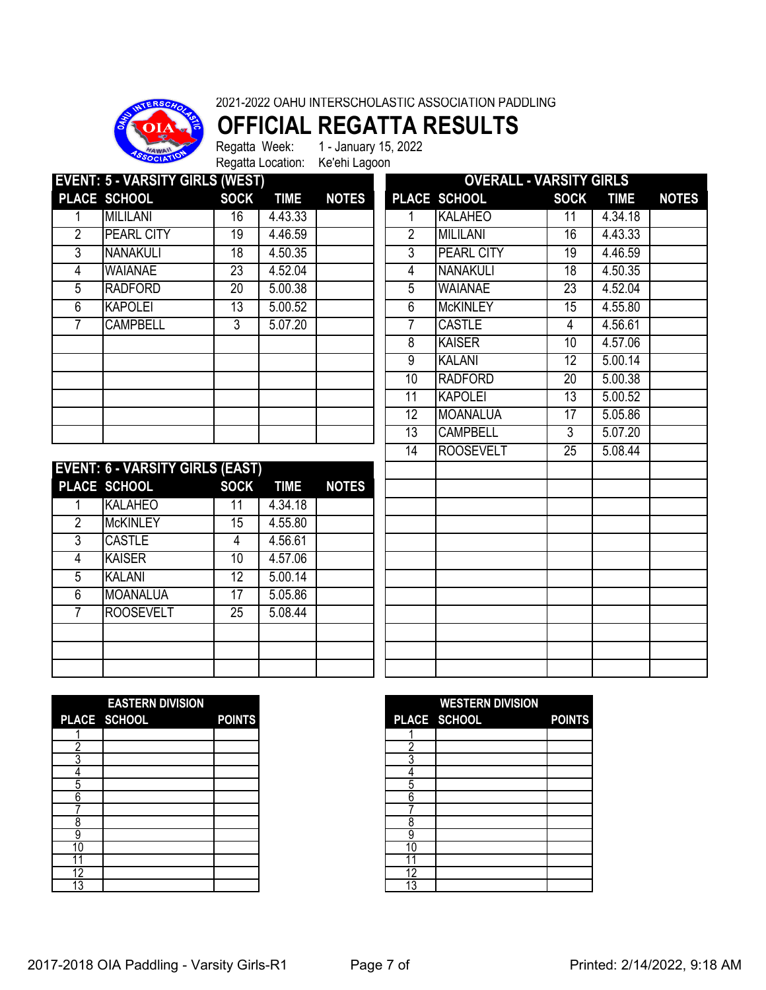

## **OFFICIAL REGATTA RESULTS**

Regatta Week: 1 - January 15, 2022 Regatta Location: Ke'ehi Lagoon

| <b>EVENT: 5 - VARSITY GIRLS (WEST)</b> |                   |                 |             |              | <b>OVERALL - VARSITY GIRLS</b> |                   |                 |             |              |  |
|----------------------------------------|-------------------|-----------------|-------------|--------------|--------------------------------|-------------------|-----------------|-------------|--------------|--|
|                                        | PLACE SCHOOL      | <b>SOCK</b>     | <b>TIME</b> | <b>NOTES</b> |                                | PLACE SCHOOL      | <b>SOCK</b>     | <b>TIME</b> | <b>NOTES</b> |  |
|                                        | <b>MILILANI</b>   | 16              | 4.43.33     |              |                                | <b>KALAHEO</b>    | 11              | 4.34.18     |              |  |
| 2                                      | <b>PEARL CITY</b> | 19              | 4.46.59     |              | $\overline{2}$                 | <b>MILILANI</b>   | 16              | 4.43.33     |              |  |
| 3                                      | <b>NANAKULI</b>   | 18              | 4.50.35     |              | 3                              | <b>PEARL CITY</b> | 19              | 4.46.59     |              |  |
| 4                                      | <b>WAIANAE</b>    | $\overline{23}$ | 4.52.04     |              | 4                              | <b>NANAKULI</b>   | $\overline{18}$ | 4.50.35     |              |  |
| 5                                      | <b>RADFORD</b>    | 20              | 5.00.38     |              | 5                              | <b>WAIANAE</b>    | 23              | 4.52.04     |              |  |
| 6                                      | <b>KAPOLEI</b>    | 13              | 5.00.52     |              | 6                              | <b>McKINLEY</b>   | 15              | 4.55.80     |              |  |
|                                        | <b>CAMPBELL</b>   | 3               | 5.07.20     |              |                                | <b>CASTLE</b>     | 4               | 4.56.61     |              |  |
|                                        |                   |                 |             |              | 8                              | <b>KAISER</b>     | 10              | 4.57.06     |              |  |
|                                        |                   |                 |             |              | 9                              | <b>KALANI</b>     | 12              | 5.00.14     |              |  |
|                                        |                   |                 |             |              | 10                             | <b>RADFORD</b>    | 20              | 5.00.38     |              |  |
|                                        |                   |                 |             |              | 11                             | <b>KAPOLEI</b>    | $1\overline{3}$ | 5.00.52     |              |  |
|                                        |                   |                 |             |              | $1\overline{2}$                | <b>MOANALUA</b>   | $\overline{17}$ | 5.05.86     |              |  |
|                                        |                   |                 |             |              | 13                             | <b>CAMPBELL</b>   | 3               | 5.07.20     |              |  |
|                                        |                   |                 |             |              |                                |                   |                 |             |              |  |

| <b>EVENT: 6 - VARSITY GIRLS (EAST)</b> |                  |                 |             |              |  |  |  |  |  |  |
|----------------------------------------|------------------|-----------------|-------------|--------------|--|--|--|--|--|--|
|                                        | PLACE SCHOOL     | <b>SOCK</b>     | <b>TIME</b> | <b>NOTES</b> |  |  |  |  |  |  |
|                                        | <b>KALAHEO</b>   | 11              | 4.34.18     |              |  |  |  |  |  |  |
| $\overline{2}$                         | <b>McKINLEY</b>  | $\overline{15}$ | 4.55.80     |              |  |  |  |  |  |  |
| 3                                      | <b>CASTLE</b>    | 4               | 4.56.61     |              |  |  |  |  |  |  |
| 4                                      | <b>KAISER</b>    | 10              | 4.57.06     |              |  |  |  |  |  |  |
| 5                                      | <b>KALANI</b>    | 12              | 5.00.14     |              |  |  |  |  |  |  |
| 6                                      | <b>MOANALUA</b>  | 17              | 5.05.86     |              |  |  |  |  |  |  |
|                                        | <b>ROOSEVELT</b> | $\overline{25}$ | 5.08.44     |              |  |  |  |  |  |  |
|                                        |                  |                 |             |              |  |  |  |  |  |  |
|                                        |                  |                 |             |              |  |  |  |  |  |  |
|                                        |                  |                 |             |              |  |  |  |  |  |  |

| <b>OVERALL - VARSITY GIRLS</b> |                   |                 |             |              |  |  |  |  |  |
|--------------------------------|-------------------|-----------------|-------------|--------------|--|--|--|--|--|
| PLACE                          | <b>SCHOOL</b>     | <b>SOCK</b>     | <b>TIME</b> | <b>NOTES</b> |  |  |  |  |  |
| 1                              | <b>KALAHEO</b>    | $\overline{11}$ | 4.34.18     |              |  |  |  |  |  |
| $\overline{2}$                 | <b>MILILANI</b>   | 16              | 4.43.33     |              |  |  |  |  |  |
| 3                              | <b>PEARL CITY</b> | 19              | 4.46.59     |              |  |  |  |  |  |
| 4                              | <b>NANAKULI</b>   | 18              | 4.50.35     |              |  |  |  |  |  |
| $\overline{5}$                 | <b>WAIANAE</b>    | $\overline{23}$ | 4.52.04     |              |  |  |  |  |  |
| $\overline{6}$                 | <b>McKINLEY</b>   | $\overline{15}$ | 4.55.80     |              |  |  |  |  |  |
| 7                              | <b>CASTLE</b>     | 4               | 4.56.61     |              |  |  |  |  |  |
| 8                              | <b>KAISER</b>     | $\overline{10}$ | 4.57.06     |              |  |  |  |  |  |
| g                              | <b>KALANI</b>     | 12              | 5.00.14     |              |  |  |  |  |  |
| 10                             | <b>RADFORD</b>    | $\overline{20}$ | 5.00.38     |              |  |  |  |  |  |
| 11                             | <b>KAPOLEI</b>    | 13              | 5.00.52     |              |  |  |  |  |  |
| $\overline{12}$                | <b>MOANALUA</b>   | 17              | 5.05.86     |              |  |  |  |  |  |
| 13                             | <b>CAMPBELL</b>   | 3               | 5.07.20     |              |  |  |  |  |  |
| 14                             | <b>ROOSEVELT</b>  | $\overline{25}$ | 5.08.44     |              |  |  |  |  |  |
|                                |                   |                 |             |              |  |  |  |  |  |
|                                |                   |                 |             |              |  |  |  |  |  |
|                                |                   |                 |             |              |  |  |  |  |  |
|                                |                   |                 |             |              |  |  |  |  |  |
|                                |                   |                 |             |              |  |  |  |  |  |
|                                |                   |                 |             |              |  |  |  |  |  |
|                                |                   |                 |             |              |  |  |  |  |  |
|                                |                   |                 |             |              |  |  |  |  |  |
|                                |                   |                 |             |              |  |  |  |  |  |
|                                |                   |                 |             |              |  |  |  |  |  |
|                                |                   |                 |             |              |  |  |  |  |  |
|                                |                   |                 |             |              |  |  |  |  |  |

|    | <b>EASTERN DIVISION</b> |               |
|----|-------------------------|---------------|
|    | PLACE SCHOOL            | <b>POINTS</b> |
|    |                         |               |
| r  |                         |               |
|    |                         |               |
|    |                         |               |
| 5  |                         |               |
| հ  |                         |               |
|    |                         |               |
|    |                         |               |
|    |                         |               |
| 10 |                         |               |
|    |                         |               |
| 12 |                         |               |
| 13 |                         |               |

|    | <b>EASTERN DIVISION</b> |               |    | <b>WESTERN DIVISION</b> |               |
|----|-------------------------|---------------|----|-------------------------|---------------|
|    | PLACE SCHOOL            | <b>POINTS</b> |    | PLACE SCHOOL            | <b>POINTS</b> |
|    |                         |               |    |                         |               |
|    |                         |               |    |                         |               |
|    |                         |               |    |                         |               |
|    |                         |               |    |                         |               |
| 5  |                         |               | h  |                         |               |
| 6  |                         |               | 6  |                         |               |
|    |                         |               |    |                         |               |
| 8  |                         |               | о  |                         |               |
| 9  |                         |               | 9  |                         |               |
| 10 |                         |               | 10 |                         |               |
|    |                         |               |    |                         |               |
| 12 |                         |               | 12 |                         |               |
| 13 |                         |               | 13 |                         |               |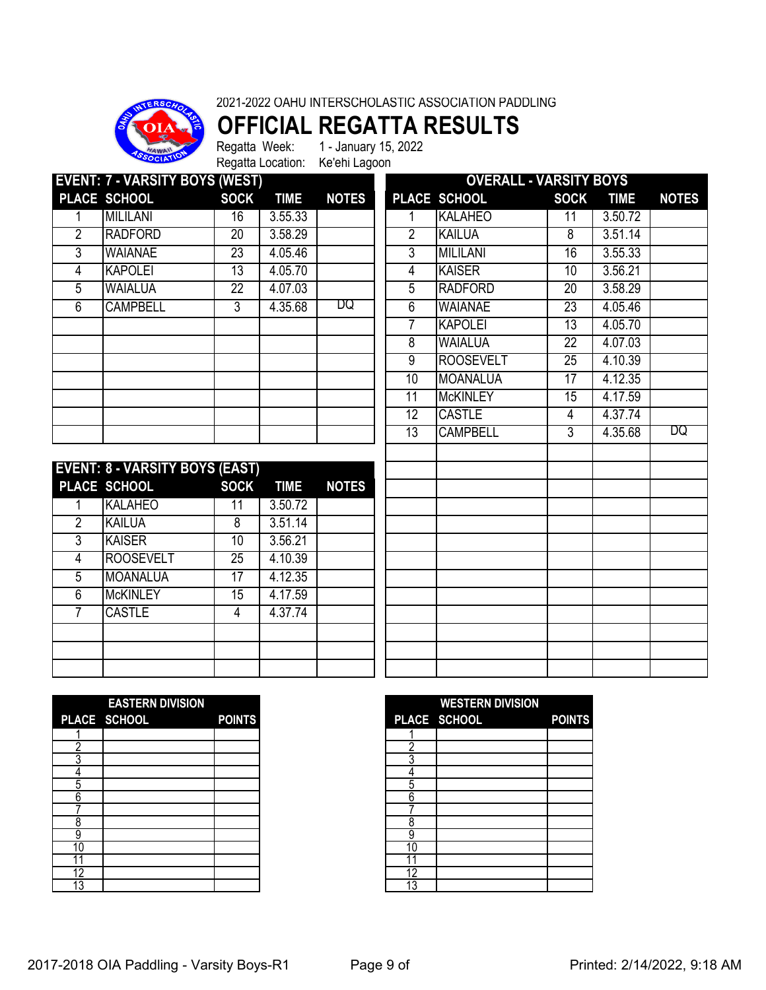

### **OFFICIAL REGATTA RESULTS**

Regatta Week: 1 - January 15, 2022 Regatta Location: Ke'ehi Lagoon

| <b>EVENT: 7 - VARSITY BOYS (WEST)</b> |                 |                 |             |              |                 | <b>OVERALL - VARSITY BOYS</b> |             |             |              |
|---------------------------------------|-----------------|-----------------|-------------|--------------|-----------------|-------------------------------|-------------|-------------|--------------|
|                                       | PLACE SCHOOL    | <b>SOCK</b>     | <b>TIME</b> | <b>NOTES</b> |                 | PLACE SCHOOL                  | <b>SOCK</b> | <b>TIME</b> | <b>NOTES</b> |
|                                       | <b>MILILANI</b> | 16              | 3.55.33     |              |                 | <b>KALAHEO</b>                | 11          | 3.50.72     |              |
| $\overline{2}$                        | <b>RADFORD</b>  | 20              | 3.58.29     |              | 2               | <b>KAILUA</b>                 | 8           | 3.51.14     |              |
| 3                                     | <b>WAIANAE</b>  | 23              | 4.05.46     |              | 3               | <b>MILILANI</b>               | 16          | 3.55.33     |              |
| 4                                     | <b>KAPOLEI</b>  | $1\overline{3}$ | 4.05.70     |              | 4               | <b>KAISER</b>                 | 10          | 3.56.21     |              |
| 5                                     | <b>WAIALUA</b>  | 22              | 4.07.03     |              | 5               | <b>RADFORD</b>                | 20          | 3.58.29     |              |
| 6                                     | <b>CAMPBELL</b> | 3               | 4.35.68     | DQ           | 6               | <b>WAIANAE</b>                | 23          | 4.05.46     |              |
|                                       |                 |                 |             |              |                 | <b>KAPOLEI</b>                | 13          | 4.05.70     |              |
|                                       |                 |                 |             |              | 8               | <b>WAIALUA</b>                | 22          | 4.07.03     |              |
|                                       |                 |                 |             |              | 9               | <b>ROOSEVELT</b>              | 25          | 4.10.39     |              |
|                                       |                 |                 |             |              | 10              | <b>MOANALUA</b>               | 17          | 4.12.35     |              |
|                                       |                 |                 |             |              | 11              | <b>McKINLEY</b>               | 15          | 4.17.59     |              |
|                                       |                 |                 |             |              | $1\overline{2}$ | <b>CASTLE</b>                 | 4           | 4.37.74     |              |
|                                       |                 |                 |             |              | 13              | <b>CAMPBELL</b>               | 3           | 4.35.68     | DQ           |
|                                       |                 |                 |             |              |                 |                               |             |             |              |

|                | <b>EVENT: 8 - VARSITY BOYS (EAST)</b> |             |             |              |
|----------------|---------------------------------------|-------------|-------------|--------------|
|                | PLACE SCHOOL                          | <b>SOCK</b> | <b>TIME</b> | <b>NOTES</b> |
|                | <b>KALAHEO</b>                        | 11          | 3.50.72     |              |
| $\overline{2}$ | <b>KAILUA</b>                         | 8           | 3.51.14     |              |
| 3              | <b>KAISER</b>                         | 10          | 3.56.21     |              |
| 4              | <b>ROOSEVELT</b>                      | 25          | 4.10.39     |              |
| 5              | <b>MOANALUA</b>                       | 17          | 4.12.35     |              |
| 6              | <b>McKINLEY</b>                       | 15          | 4.17.59     |              |
|                | <b>CASTLE</b>                         |             | 4.37.74     |              |
|                |                                       |             |             |              |
|                |                                       |             |             |              |
|                |                                       |             |             |              |

| <b>OVERALL - VARSITY BOYS</b> |                 |             |              |  |  |  |
|-------------------------------|-----------------|-------------|--------------|--|--|--|
| PLACE SCHOOL                  | <b>SOCK</b>     | <b>TIME</b> | <b>NOTES</b> |  |  |  |
| <b>KALAHEO</b>                | $\overline{11}$ | 3.50.72     |              |  |  |  |
| <b>KAILUA</b>                 | 8               | 3.51.14     |              |  |  |  |
| <b>MILILANI</b>               | 16              | 3.55.33     |              |  |  |  |
| <b>KAISER</b>                 | 10              | 3.56.21     |              |  |  |  |
| <b>RADFORD</b>                | $\overline{20}$ | 3.58.29     |              |  |  |  |
| <b>WAIANAE</b>                | $\overline{23}$ | 4.05.46     |              |  |  |  |
| <b>KAPOLEI</b>                | 13              | 4.05.70     |              |  |  |  |
| <b>WAIALUA</b>                | $\overline{22}$ | 4.07.03     |              |  |  |  |
| <b>ROOSEVELT</b>              | $\overline{25}$ | 4.10.39     |              |  |  |  |
| <b>MOANALUA</b>               | $\overline{17}$ | 4.12.35     |              |  |  |  |
| <b>McKINLEY</b>               | 15              | 4.17.59     |              |  |  |  |
| <b>CASTLE</b>                 | 4               | 4.37.74     |              |  |  |  |
| <b>CAMPBELL</b>               | 3               | 4.35.68     | DQ           |  |  |  |
|                               |                 |             |              |  |  |  |
|                               |                 |             |              |  |  |  |
|                               |                 |             |              |  |  |  |
|                               |                 |             |              |  |  |  |
|                               |                 |             |              |  |  |  |
|                               |                 |             |              |  |  |  |
|                               |                 |             |              |  |  |  |
|                               |                 |             |              |  |  |  |
|                               |                 |             |              |  |  |  |
|                               |                 |             |              |  |  |  |
|                               |                 |             |              |  |  |  |
|                               |                 |             |              |  |  |  |
|                               |                 |             |              |  |  |  |
|                               |                 |             |              |  |  |  |

|        | <b>EASTERN DIVISION</b> |               |    | <b>WESTERN DIVISION</b> |
|--------|-------------------------|---------------|----|-------------------------|
|        | PLACE SCHOOL            | <b>POINTS</b> |    | PLACE SCHOOL            |
|        |                         |               |    |                         |
|        |                         |               |    |                         |
|        |                         |               |    |                         |
|        |                         |               |    |                         |
| 5      |                         |               |    |                         |
| ⌒<br>n |                         |               | հ  |                         |
|        |                         |               |    |                         |
|        |                         |               | о  |                         |
| 9      |                         |               |    |                         |
| 10     |                         |               | 10 |                         |
|        |                         |               |    |                         |
| 12     |                         |               | 12 |                         |
| 13     |                         |               |    |                         |

|    | <b>EASTERN DIVISION</b> |               |    | <b>WESTERN DIVISION</b> |               |
|----|-------------------------|---------------|----|-------------------------|---------------|
|    | PLACE SCHOOL            | <b>POINTS</b> |    | PLACE SCHOOL            | <b>POINTS</b> |
|    |                         |               |    |                         |               |
|    |                         |               |    |                         |               |
|    |                         |               |    |                         |               |
|    |                         |               |    |                         |               |
| 5  |                         |               | h  |                         |               |
| 6  |                         |               | 6  |                         |               |
|    |                         |               |    |                         |               |
| 8  |                         |               | о  |                         |               |
| 9  |                         |               | 9  |                         |               |
| 10 |                         |               | 10 |                         |               |
|    |                         |               |    |                         |               |
| 12 |                         |               | 12 |                         |               |
| 13 |                         |               | 13 |                         |               |